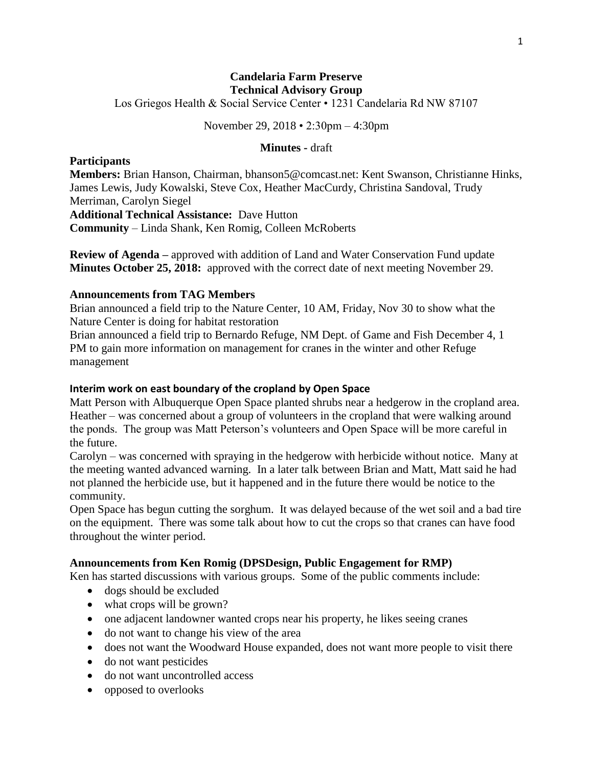## **Candelaria Farm Preserve Technical Advisory Group**

Los Griegos Health & Social Service Center • 1231 Candelaria Rd NW 87107

November 29, 2018 • 2:30pm – 4:30pm

#### **Minutes -** draft

#### **Participants**

**Members:** Brian Hanson, Chairman, bhanson5@comcast.net: Kent Swanson, Christianne Hinks, James Lewis, Judy Kowalski, Steve Cox, Heather MacCurdy, Christina Sandoval, Trudy Merriman, Carolyn Siegel

**Additional Technical Assistance:** Dave Hutton **Community** – Linda Shank, Ken Romig, Colleen McRoberts

**Review of Agenda –** approved with addition of Land and Water Conservation Fund update **Minutes October 25, 2018:** approved with the correct date of next meeting November 29.

## **Announcements from TAG Members**

Brian announced a field trip to the Nature Center, 10 AM, Friday, Nov 30 to show what the Nature Center is doing for habitat restoration

Brian announced a field trip to Bernardo Refuge, NM Dept. of Game and Fish December 4, 1 PM to gain more information on management for cranes in the winter and other Refuge management

## **Interim work on east boundary of the cropland by Open Space**

Matt Person with Albuquerque Open Space planted shrubs near a hedgerow in the cropland area. Heather – was concerned about a group of volunteers in the cropland that were walking around the ponds. The group was Matt Peterson's volunteers and Open Space will be more careful in the future.

Carolyn – was concerned with spraying in the hedgerow with herbicide without notice. Many at the meeting wanted advanced warning. In a later talk between Brian and Matt, Matt said he had not planned the herbicide use, but it happened and in the future there would be notice to the community.

Open Space has begun cutting the sorghum. It was delayed because of the wet soil and a bad tire on the equipment. There was some talk about how to cut the crops so that cranes can have food throughout the winter period.

### **Announcements from Ken Romig (DPSDesign, Public Engagement for RMP)**

Ken has started discussions with various groups. Some of the public comments include:

- dogs should be excluded
- what crops will be grown?
- one adjacent landowner wanted crops near his property, he likes seeing cranes
- do not want to change his view of the area
- does not want the Woodward House expanded, does not want more people to visit there
- do not want pesticides
- do not want uncontrolled access
- opposed to overlooks